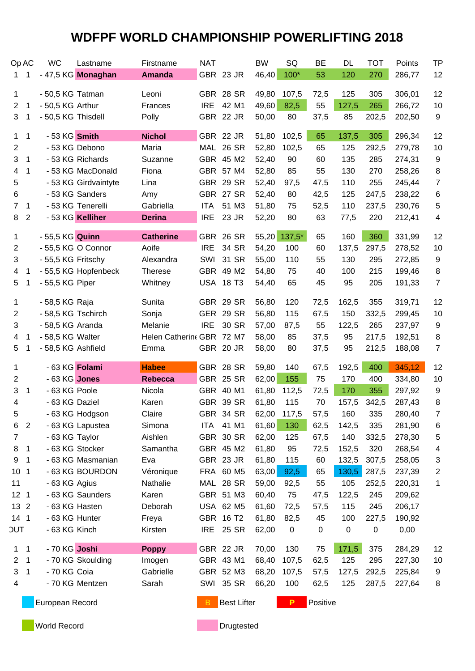| Op AC           |                | <b>WC</b>          | Lastname             | Firstname                 | <b>NAT</b> |                  | <b>BW</b>    | SQ     | BE         | <b>DL</b> | <b>TOT</b> | Points           | <b>TP</b> |
|-----------------|----------------|--------------------|----------------------|---------------------------|------------|------------------|--------------|--------|------------|-----------|------------|------------------|-----------|
| 1               | 1              |                    | - 47,5 KG Monaghan   | <b>Amanda</b>             |            | GBR 23 JR        | 46,40        | $100*$ | 53         | 120       | 270        | 286,77           | 12        |
|                 |                |                    |                      |                           |            |                  |              |        |            |           |            |                  |           |
| 1               |                | - 50,5 KG Tatman   |                      | Leoni                     | <b>IRE</b> | GBR 28 SR        | 49,80        | 107,5  | 72,5<br>55 | 125       | 305        | 306,01<br>266,72 | 12        |
| $\overline{2}$  | $\mathbf{1}$   | - 50,5 KG Arthur   |                      | Frances                   |            | 42 M1            | 49,60        | 82,5   |            | 127,5     | 265        |                  | 10        |
| 3               | 1              | - 50,5 KG Thisdell |                      | Polly                     |            | GBR 22 JR        | 50,00        | 80     | 37,5       | 85        | 202,5      | 202,50           | 9         |
| $\mathbf{1}$    | $\mathbf{1}$   | - 53 KG Smith      |                      | <b>Nichol</b>             |            | GBR 22 JR        | 51,80        | 102,5  | 65         | 137,5     | 305        | 296,34           | 12        |
| 2               |                | - 53 KG Debono     |                      | Maria                     |            | MAL 26 SR        | 52,80        | 102,5  | 65         | 125       | 292,5      | 279,78           | 10        |
| 3               | 1              |                    | - 53 KG Richards     | Suzanne                   |            | GBR 45 M2        | 52,40        | 90     | 60         | 135       | 285        | 274,31           | 9         |
| 4               | 1              |                    | - 53 KG MacDonald    | Fiona                     |            | GBR 57 M4        | 52,80        | 85     | 55         | 130       | 270        | 258,26           | 8         |
| 5               |                |                    | - 53 KG Girdvaintyte | Lina                      |            | GBR 29 SR        | 52,40        | 97,5   | 47,5       | 110       | 255        | 245,44           | 7         |
| 6               |                |                    | - 53 KG Sanders      | Amy                       |            | GBR 27 SR        | 52,40        | 80     | 42,5       | 125       | 247,5      | 238,22           | 6         |
| $\overline{7}$  | 1              |                    | - 53 KG Tenerelli    | Gabriella                 | <b>ITA</b> | 51 M3            | 51,80        | 75     | 52,5       | 110       | 237,5      | 230,76           | 5         |
| 8               | $\overline{2}$ |                    | - 53 KG Kelliher     | <b>Derina</b>             | <b>IRE</b> | 23 JR            | 52,20        | 80     | 63         | 77,5      | 220        | 212,41           | 4         |
|                 |                |                    |                      |                           |            |                  |              |        |            |           |            |                  |           |
| 1               |                | - 55,5 KG Quinn    |                      | <b>Catherine</b>          |            | GBR 26 SR        | 55,20 137,5* |        | 65         | 160       | 360        | 331,99           | 12        |
| $\overline{2}$  |                | - 55,5 KG O Connor |                      | Aoife                     | <b>IRE</b> | 34 SR            | 54,20        | 100    | 60         | 137,5     | 297,5      | 278,52           | 10        |
| 3               |                | - 55,5 KG Fritschy |                      | Alexandra                 | SWI        | 31 SR            | 55,00        | 110    | 55         | 130       | 295        | 272,85           | 9         |
| 4               | 1              |                    | - 55,5 KG Hopfenbeck | <b>Therese</b>            |            | GBR 49 M2        | 54,80        | 75     | 40         | 100       | 215        | 199,46           | 8         |
| 5               | 1              | - 55,5 KG Piper    |                      | Whitney                   |            | <b>USA 18 T3</b> | 54,40        | 65     | 45         | 95        | 205        | 191,33           | 7         |
| 1               |                | - 58,5 KG Raja     |                      | Sunita                    |            | GBR 29 SR        | 56,80        | 120    | 72,5       | 162,5     | 355        | 319,71           | 12        |
| 2               |                | - 58,5 KG Tschirch |                      | Sonja                     |            | GER 29 SR        | 56,80        | 115    | 67,5       | 150       | 332,5      | 299,45           | 10        |
| 3               |                | - 58,5 KG Aranda   |                      | Melanie                   | <b>IRE</b> | 30 SR            | 57,00        | 87,5   | 55         | 122,5     | 265        | 237,97           | 9         |
| 4               | 1              | - 58,5 KG Walter   |                      | Helen Catherine GBR 72 M7 |            |                  | 58,00        | 85     | 37,5       | 95        | 217,5      | 192,51           | 8         |
| 5               | 1              | - 58,5 KG Ashfield |                      | Emma                      |            | GBR 20 JR        | 58,00        | 80     | 37,5       | 95        | 212,5      | 188,08           | 7         |
|                 |                |                    |                      |                           |            |                  |              |        |            |           |            |                  |           |
| 1               |                | - 63 KG Folami     |                      | <b>Habee</b>              |            | GBR 28 SR        | 59,80        | 140    | 67,5       | 192,5     | 400        | 345,12           | 12        |
| 2               |                | - 63 KG Jones      |                      | <b>Rebecca</b>            |            | GBR 25 SR        | 62,00        | 155    | 75         | 170       | 400        | 334,80           | 10        |
| 3               | 1              | - 63 KG Poole      |                      | Nicola                    |            | GBR 40 M1        | 61,80        | 112,5  | 72,5       | 170       | 355        | 297,92           | 9         |
| 4               |                | - 63 KG Daziel     |                      | Karen                     |            | <b>GBR 39 SR</b> | 61,80        | 115    | 70         | 157,5     | 342,5      | 287,43           | 8         |
| 5               |                |                    | - 63 KG Hodgson      | Claire                    |            | GBR 34 SR        | 62,00 117,5  |        | 57,5       | 160       | 335        | 280,40           | 7         |
| 6               | 2              |                    | - 63 KG Lapustea     | Simona                    | <b>ITA</b> | 41 M1            | 61,60        | 130    | 62,5       | 142,5     | 335        | 281,90           | 6         |
| 7               |                | - 63 KG Taylor     |                      | Aishlen                   |            | GBR 30 SR        | 62,00        | 125    | 67,5       | 140       | 332,5      | 278,30           | 5         |
| 8               | 1              | - 63 KG Stocker    |                      | Samantha                  |            | GBR 45 M2        | 61,80        | 95     | 72,5       | 152,5     | 320        | 268,54           | 4         |
| 9               | 1              |                    | - 63 KG Masmanian    | Eva                       |            | GBR 23 JR        | 61,80        | 115    | 60         | 132,5     | 307,5      | 258,05           | 3         |
| 10 <sub>1</sub> |                |                    | - 63 KG BOURDON      | Véronique                 |            | FRA 60 M5        | 63,00        | 92,5   | 65         | 130,5     | 287,5      | 237,39           | 2         |
| 11              |                | - 63 KG Agius      |                      | Nathalie                  |            | MAL 28 SR        | 59,00        | 92,5   | 55         | 105       | 252,5      | 220,31           | 1         |
| 12 <sub>1</sub> |                |                    | - 63 KG Saunders     | Karen                     |            | GBR 51 M3        | 60,40        | 75     | 47,5       | 122,5     | 245        | 209,62           |           |
| 13 2            |                | - 63 KG Hasten     |                      | Deborah                   |            | USA 62 M5        | 61,60        | 72,5   | 57,5       | 115       | 245        | 206,17           |           |
| $141$           |                | - 63 KG Hunter     |                      | Freya                     |            | GBR 16 T2        | 61,80        | 82,5   | 45         | 100       | 227,5      | 190,92           |           |
| <b>TUC</b>      |                | - 63 KG Kinch      |                      | Kirsten                   |            | IRE 25 SR        | 62,00        | 0      | 0          | 0         | 0          | 0,00             |           |
| $\mathbf 1$     | $\mathbf{1}$   | - 70 KG Joshi      |                      | <b>Poppy</b>              |            | GBR 22 JR        | 70,00        | 130    | 75         | 171,5     | 375        | 284,29           | 12        |
| $\overline{2}$  | $\mathbf{1}$   |                    | - 70 KG Skoulding    | Imogen                    |            | GBR 43 M1        | 68,40        | 107,5  | 62,5       | 125       | 295        | 227,30           | 10        |
| 3               | 1              | - 70 KG Coia       |                      | Gabrielle                 |            | GBR 52 M3        | 68,20        | 107,5  | 57,5       | 127,5     | 292,5      | 225,84           | 9         |
| 4               |                |                    | - 70 KG Mentzen      | Sarah                     |            | SWI 35 SR        | 66,20        | 100    | 62,5       | 125       | 287,5      | 227,64           | 8         |
|                 |                |                    |                      |                           |            |                  |              |        |            |           |            |                  |           |

**European Record B B** Best Lifter **P** Positive

**World Record Drugtested**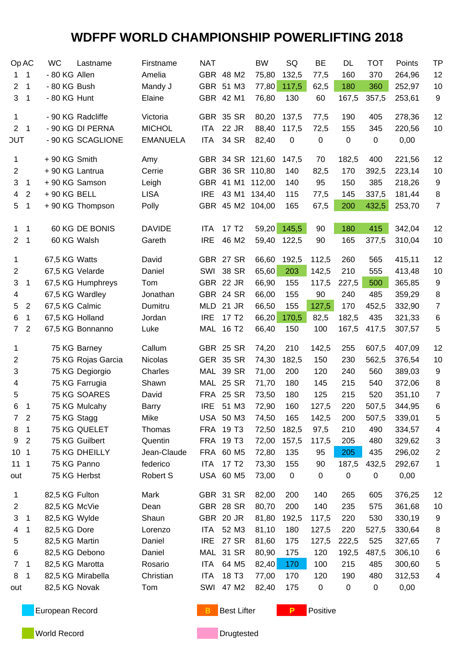| Op AC                          |                  | <b>WC</b>       | Lastname           | Firstname       | <b>NAT</b>               |                   | <b>BW</b>        | SQ                   | <b>BE</b>        | <b>DL</b>   | <b>TOT</b>   | Points | <b>TP</b>      |
|--------------------------------|------------------|-----------------|--------------------|-----------------|--------------------------|-------------------|------------------|----------------------|------------------|-------------|--------------|--------|----------------|
| 1.                             | $\mathbf 1$      | - 80 KG Allen   |                    | Amelia          |                          | GBR 48 M2         | 75,80            | 132,5                | 77,5             | 160         | 370          | 264,96 | 12             |
| $\overline{2}$                 | $\mathbf{1}$     | - 80 KG Bush    |                    | Mandy J         |                          | GBR 51 M3         | 77,80            | 117,5                | 62,5             | 180         | 360          | 252,97 | 10             |
| 3                              | 1                | - 80 KG Hunt    |                    | Elaine          |                          | GBR 42 M1         | 76,80            | 130                  | 60               | 167,5       | 357,5        | 253,61 | 9              |
|                                |                  |                 |                    |                 |                          |                   |                  |                      |                  |             |              |        |                |
| 1                              |                  |                 | - 90 KG Radcliffe  | Victoria        |                          | GBR 35 SR         | 80,20            | 137,5                | 77,5             | 190         | 405          | 278,36 | 12             |
| 2 <sub>1</sub>                 |                  |                 | - 90 KG DI PERNA   | <b>MICHOL</b>   | <b>ITA</b>               | 22 JR             | 88,40            | 117,5                | 72,5             | 155         | 345          | 220,56 | 10             |
| <b>JUT</b>                     |                  |                 | - 90 KG SCAGLIONE  | <b>EMANUELA</b> | <b>ITA</b>               | 34 SR             | 82,40            | $\mathbf 0$          | $\mathsf 0$      | $\mathbf 0$ | $\pmb{0}$    | 0,00   |                |
| 1                              |                  | + 90 KG Smith   |                    | Amy             |                          |                   | GBR 34 SR 121,60 | 147,5                | 70               | 182,5       | 400          | 221,56 | 12             |
| $\overline{2}$                 |                  | + 90 KG Lantrua |                    | Cerrie          |                          | GBR 36 SR 110,80  |                  | 140                  | 82,5             | 170         | 392,5        | 223,14 | 10             |
| 3                              | $\mathbf{1}$     |                 | + 90 KG Samson     | Leigh           |                          |                   | GBR 41 M1 112,00 | 140                  | 95               | 150         | 385          | 218,26 | 9              |
| 4                              | $\boldsymbol{2}$ | $+90$ KG BELL   |                    | <b>LISA</b>     | <b>IRE</b>               |                   | 43 M1 134,40     | 115                  | 77,5             | 145         | 337,5        | 181,44 | 8              |
| 5                              | $\mathbf{1}$     |                 | + 90 KG Thompson   | Polly           |                          |                   | GBR 45 M2 104,00 | 165                  | 67,5             | 200         | 432,5        | 253,70 | $\overline{7}$ |
|                                |                  |                 | 60 KG DE BONIS     | <b>DAVIDE</b>   |                          | 17 T <sub>2</sub> |                  |                      | 90               |             |              |        |                |
| $\mathbf{1}$<br>2 <sup>1</sup> | $\mathbf 1$      |                 | 60 KG Walsh        | Gareth          | <b>ITA</b><br><b>IRE</b> | 46 M2             |                  | 59,20 145,5<br>122,5 | 90               | 180<br>165  | 415<br>377,5 | 342,04 | 12<br>10       |
|                                | $\mathbf 1$      |                 |                    |                 |                          |                   | 59,40            |                      |                  |             |              | 310,04 |                |
| 1                              |                  | 67,5 KG Watts   |                    | David           |                          | GBR 27 SR         | 66,60            | 192,5                | 112,5            | 260         | 565          | 415,11 | 12             |
| 2                              |                  | 67,5 KG Velarde |                    | Daniel          |                          | <b>SWI 38 SR</b>  | 65,60            | 203                  | 142,5            | 210         | 555          | 413,48 | 10             |
| 3                              | 1                |                 | 67,5 KG Humphreys  | Tom             |                          | GBR 22 JR         | 66,90            | 155                  | 117,5            | 227,5       | 500          | 365,85 | 9              |
| 4                              |                  |                 | 67,5 KG Wardley    | Jonathan        |                          | GBR 24 SR         | 66,00            | 155                  | 90               | 240         | 485          | 359,29 | 8              |
| 5                              | $\sqrt{2}$       | 67,5 KG Calmic  |                    | Dumitru         |                          | MLD 21 JR         | 66,50            | 155                  | 127,5            | 170         | 452,5        | 332,90 | $\overline{7}$ |
| 6                              | $\mathbf{1}$     | 67,5 KG Holland |                    | Jordan          | <b>IRE</b>               | 17 T <sub>2</sub> | 66,20            | 170,5                | 82,5             | 182,5       | 435          | 321,33 | 6              |
| $7^{\circ}$                    | $\boldsymbol{2}$ |                 | 67,5 KG Bonnanno   | Luke            |                          | MAL 16 T2         | 66,40            | 150                  | 100              | 167,5       | 417,5        | 307,57 | 5              |
| 1                              |                  |                 | 75 KG Barney       | Callum          |                          | GBR 25 SR         | 74,20            | 210                  | 142,5            | 255         | 607,5        | 407,09 | 12             |
| 2                              |                  |                 | 75 KG Rojas Garcia | <b>Nicolas</b>  |                          | GER 35 SR         | 74,30            | 182,5                | 150              | 230         | 562,5        | 376,54 | 10             |
| 3                              |                  |                 | 75 KG Degiorgio    | Charles         |                          | MAL 39 SR         | 71,00            | 200                  | 120              | 240         | 560          | 389,03 | 9              |
| 4                              |                  |                 | 75 KG Farrugia     | Shawn           |                          | MAL 25 SR         | 71,70            | 180                  | 145              | 215         | 540          | 372,06 | 8              |
| 5                              |                  |                 | 75 KG SOARES       | David           |                          | <b>FRA 25 SR</b>  | 73,50            | 180                  | 125              | 215         | 520          | 351,10 | 7              |
| 6                              | $\mathbf 1$      |                 | 75 KG Mulcahy      | Barry           |                          | IRE 51 M3         | 72,90            | 160                  | 127,5            | 220         | 507,5        | 344,95 | 6              |
| 7                              | $\boldsymbol{2}$ | 75 KG Stagg     |                    | Mike            |                          | USA 50 M3         | 74,50            | 165                  | 142,5            | 200         | 507,5        | 339,01 | 5              |
| 8                              | 1                |                 | 75 KG QUELET       | Thomas          |                          | FRA 19 T3         | 72,50            | 182,5                | 97,5             | 210         | 490          | 334,57 | 4              |
| 9                              | $\overline{2}$   |                 | 75 KG Guilbert     | Quentin         |                          | FRA 19 T3         | 72,00            | 157,5                | 117,5            | 205         | 480          | 329,62 | 3              |
| 10 <sub>1</sub>                |                  |                 | 75 KG DHEILLY      | Jean-Claude     |                          | FRA 60 M5         | 72,80            | 135                  | 95               | 205         | 435          | 296,02 | 2              |
| 11 <sub>1</sub>                |                  |                 | 75 KG Panno        | federico        | ITA                      | 17 T <sub>2</sub> | 73,30            | 155                  | 90               | 187,5       | 432,5        | 292,67 | 1              |
| out                            |                  |                 | 75 KG Herbst       | Robert S        |                          | USA 60 M5         | 73,00            | $\mathbf 0$          | $\boldsymbol{0}$ | 0           | 0            | 0,00   |                |
| 1                              |                  | 82,5 KG Fulton  |                    | Mark            |                          | GBR 31 SR         | 82,00            | 200                  | 140              | 265         | 605          | 376,25 | 12             |
| 2                              |                  | 82,5 KG McVie   |                    | Dean            |                          | GBR 28 SR         | 80,70            | 200                  | 140              | 235         | 575          | 361,68 | 10             |
| 3                              | 1                | 82,5 KG Wylde   |                    | Shaun           |                          | GBR 20 JR         | 81,80            | 192,5                | 117,5            | 220         | 530          | 330,19 | 9              |
| 4                              | 1                | 82,5 KG Dore    |                    | Lorenzo         | ITA                      | 52 M3             | 81,10            | 180                  | 127,5            | 220         | 527,5        | 330,64 | 8              |
| 5                              |                  | 82,5 KG Martin  |                    | Daniel          | <b>IRE</b>               | 27 SR             | 81,60            | 175                  | 127,5            | 222,5       | 525          | 327,65 | 7              |
| 6                              |                  | 82,5 KG Debono  |                    | Daniel          |                          | MAL 31 SR         | 80,90            | 175                  | 120              | 192,5       | 487,5        | 306,10 | 6              |
| $\overline{7}$                 | $\overline{1}$   | 82,5 KG Marotta |                    | Rosario         | ITA                      | 64 M5             | 82,40            | 170                  | 100              | 215         | 485          | 300,60 | 5              |
| 8                              | $\mathbf 1$      |                 | 82,5 KG Mirabella  | Christian       | ITA                      | 18 T <sub>3</sub> | 77,00            | 170                  | 120              | 190         | 480          | 312,53 | 4              |
| out                            |                  | 82,5 KG Novak   |                    |                 | SWI                      | 47 M2             | 82,40            | 175                  | $\pmb{0}$        | 0           |              | 0,00   |                |
|                                |                  |                 |                    | Tom             |                          |                   |                  |                      |                  |             | 0            |        |                |

**European Record B** Best Lifter **P** Positive

**World Record Drugtested**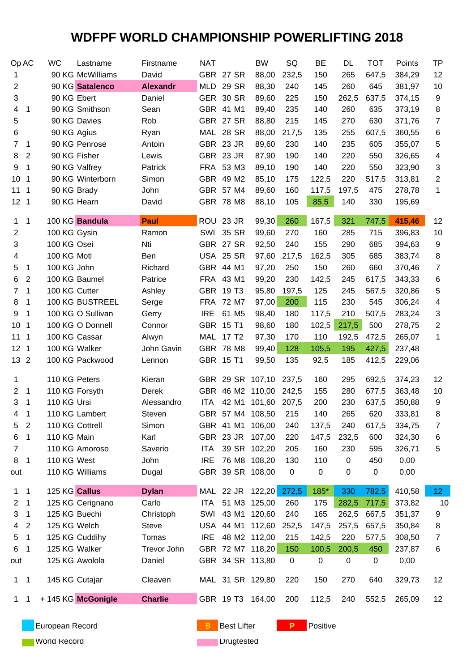| Op AC           |                            | <b>WC</b>       | Lastname           | Firstname       | <b>NAT</b> |                  | <b>BW</b>              | SQ          | <b>BE</b>   | DL    | <b>TOT</b> | Points | <b>TP</b>               |
|-----------------|----------------------------|-----------------|--------------------|-----------------|------------|------------------|------------------------|-------------|-------------|-------|------------|--------|-------------------------|
| 1               |                            |                 | 90 KG McWilliams   | David           |            | GBR 27 SR        | 88,00                  | 232,5       | 150         | 265   | 647,5      | 384,29 | 12                      |
| 2               |                            |                 | 90 KG Satalenco    | <b>Alexandr</b> |            | MLD 29 SR        | 88,30                  | 240         | 145         | 260   | 645        | 381,97 | 10                      |
| 3               |                            | 90 KG Ebert     |                    | Daniel          |            | GER 30 SR        | 89,60                  | 225         | 150         | 262,5 | 637,5      | 374,15 | 9                       |
| 4               | $\overline{1}$             |                 | 90 KG Smithson     | Sean            |            | GBR 41 M1        | 89,40                  | 235         | 140         | 260   | 635        | 373,19 | 8                       |
| 5               |                            |                 | 90 KG Davies       | Rob             |            | GBR 27 SR        | 88,80                  | 215         | 145         | 270   | 630        | 371,76 | $\overline{7}$          |
| 6               |                            | 90 KG Agius     |                    | Ryan            |            | MAL 28 SR        | 88,00                  | 217,5       | 135         | 255   | 607,5      | 360,55 | 6                       |
| $\overline{7}$  | $\overline{\phantom{0}}$ 1 |                 | 90 KG Penrose      | Antoin          |            | GBR 23 JR        | 89,60                  | 230         | 140         | 235   | 605        | 355,07 | 5                       |
| 8               | 2                          | 90 KG Fisher    |                    | Lewis           |            | GBR 23 JR        | 87,90                  | 190         | 140         | 220   | 550        | 326,65 | 4                       |
| 9               | $\mathbf 1$                |                 | 90 KG Valfrey      | Patrick         |            | FRA 53 M3        | 89,10                  | 190         | 140         | 220   | 550        | 323,90 | 3                       |
| 10 <sub>1</sub> |                            |                 | 90 KG Winterborn   | Simon           |            | GBR 49 M2        | 85,10                  | 175         | 122,5       | 220   | 517,5      | 313,81 | $\overline{\mathbf{c}}$ |
| 11 <sub>1</sub> |                            | 90 KG Brady     |                    | John            |            | GBR 57 M4        | 89,60                  | 160         | 117,5       | 197,5 | 475        | 278,78 | 1                       |
| 12 <sub>1</sub> |                            | 90 KG Hearn     |                    | David           |            | GBR 78 M8        | 88,10                  | 105         | 85,5        | 140   | 330        | 195,69 |                         |
| $\mathbf 1$     | $\overline{\phantom{1}}$   |                 | 100 KG Bandula     | Paul            |            | ROU 23 JR        | 99,30                  | 260         | 167,5       | 321   | 747,5      | 415,46 | 12                      |
| $\overline{2}$  |                            | 100 KG Gysin    |                    | Ramon           |            | <b>SWI 35 SR</b> | 99,60                  | 270         | 160         | 285   | 715        | 396,83 | 10                      |
| 3               |                            | 100 KG Osei     |                    | Nti             |            | GBR 27 SR        | 92,50                  | 240         | 155         | 290   | 685        | 394,63 | 9                       |
| 4               |                            | 100 KG Motl     |                    | Ben             |            | USA 25 SR        | 97,60                  | 217,5       | 162,5       | 305   | 685        | 383,74 | 8                       |
| 5               | $\mathbf{1}$               | 100 KG John     |                    | Richard         |            | GBR 44 M1        | 97,20                  | 250         | 150         | 260   | 660        | 370,46 | $\overline{7}$          |
| 6               | 2                          |                 | 100 KG Baumel      | Patrice         |            | FRA 43 M1        | 99,20                  | 230         | 142,5       | 245   | 617,5      | 343,33 | 6                       |
| 7               | $\overline{\phantom{1}}$   | 100 KG Cutter   |                    | Ashley          |            | GBR 19 T3        | 95,80                  | 197,5       | 125         | 245   | 567,5      | 320,86 | 5                       |
| 8               | -1                         |                 | 100 KG BUSTREEL    | Serge           |            | FRA 72 M7        | 97,00                  | 200         | 115         | 230   | 545        | 306,24 | 4                       |
| 9               | $\overline{1}$             |                 | 100 KG O Sullivan  | Gerry           | <b>IRE</b> | 61 M5            | 98,40                  | 180         | 117,5       | 210   | 507,5      | 283,24 | 3                       |
| 10 <sub>1</sub> |                            |                 | 100 KG O Donnell   | Connor          |            | GBR 15 T1        | 98,60                  | 180         | 102,5       | 217,5 | 500        | 278,75 | 2                       |
| 111             |                            | 100 KG Cassar   |                    |                 |            | MAL 17 T2        | 97,30                  | 170         | 110         | 192,5 | 472,5      | 265,07 | 1                       |
|                 |                            | 100 KG Walker   |                    | Alwyn           |            | GBR 78 M8        |                        |             |             | 195   | 427,5      |        |                         |
| 12 <sub>1</sub> |                            |                 |                    | John Gavin      |            |                  | 99,40                  | 128         | 105,5       |       |            | 237,48 |                         |
| 13 2            |                            |                 | 100 KG Packwood    | Lennon          |            | GBR 15 T1        | 99,50                  | 135         | 92,5        | 185   | 412,5      | 229,06 |                         |
| 1               |                            | 110 KG Peters   |                    | Kieran          |            |                  | GBR 29 SR 107,10       | 237,5       | 160         | 295   | 692,5      | 374,23 | 12                      |
| $\overline{2}$  | $\overline{\phantom{0}}$ 1 | 110 KG Forsyth  |                    | Derek           |            | GBR 46 M2 110,00 |                        | 242,5       | 155         | 280   | 677,5      | 363,48 | 10                      |
| 3               | $\overline{\mathbf{1}}$    | 110 KG Ursi     |                    | Alessandro      |            |                  | ITA 42 M1 101,60 207,5 |             | 200         | 230   | 637,5      | 350,88 | 9                       |
| 4 <sub>1</sub>  |                            |                 | 110 KG Lambert     | Steven          |            |                  | GBR 57 M4 108,50       | 215         | 140         | 265   | 620        | 333,81 | 8                       |
| 5               | 2                          | 110 KG Cottrell |                    | Simon           |            | GBR 41 M1 106,00 |                        | 240         | 137,5       | 240   | 617,5      | 334,75 | 7                       |
| 6               | $\overline{1}$             | 110 KG Main     |                    | Karl            |            | GBR 23 JR 107,00 |                        | 220         | 147,5       | 232,5 | 600        | 324,30 | 6                       |
| 7               |                            |                 | 110 KG Amoroso     | Saverio         | ITA        | 39 SR 102,20     |                        | 205         | 160         | 230   | 595        | 326,71 | 5                       |
| 8               | $\overline{1}$             | 110 KG West     |                    | John            | <b>IRE</b> |                  | 76 M8 108,20           | 130         | 110         | 0     | 450        | 0,00   |                         |
| out             |                            |                 | 110 KG Williams    | Dugal           |            | GBR 39 SR 108,00 |                        | $\mathbf 0$ | $\mathbf 0$ | 0     | 0          | 0,00   |                         |
| $1 \quad 1$     |                            | 125 KG Callus   |                    | <b>Dylan</b>    |            |                  | MAL 22 JR 122,20 272,5 |             | 185*        | 330   | 782,5      | 410,58 | 12 <sub>1</sub>         |
| 2               | $\overline{\phantom{1}}$   |                 | 125 KG Cerignano   | Carlo           | ITA        |                  | 51 M3 125,00           | 260         | 175         | 282,5 | 717,5      | 373,82 | 10                      |
| 3               | $\overline{\phantom{1}}$   | 125 KG Buechi   |                    | Christoph       |            | SWI 43 M1 120,60 |                        | 240         | 165         | 262,5 | 667,5      | 351,37 | 9                       |
| 4               | $\overline{2}$             | 125 KG Welch    |                    | <b>Steve</b>    |            |                  | USA 44 M1 112,60       | 252,5       | 147,5       | 257,5 | 657,5      | 350,84 | 8                       |
| 5               | $\overline{1}$             |                 | 125 KG Cuddihy     | Tomas           | <b>IRE</b> | 48 M2 112,00     |                        | 215         | 142,5       | 220   | 577,5      | 308,50 | 7                       |
| 6               | $\overline{\phantom{1}}$   | 125 KG Walker   |                    | Trevor John     |            | GBR 72 M7 118,20 |                        | 150         | 100,5       | 200,5 | 450        | 237,87 | 6                       |
| out             |                            |                 | 125 KG Awolola     | Daniel          |            | GBR 34 SR 113,80 |                        | $\mathbf 0$ | $\mathbf 0$ | 0     | $\pmb{0}$  | 0,00   |                         |
| $1 \quad 1$     |                            |                 | 145 KG Cutajar     | Cleaven         |            | MAL 31 SR 129,80 |                        | 220         | 150         | 270   | 640        | 329,73 | 12                      |
| $1 \quad 1$     |                            |                 | + 145 KG McGonigle | <b>Charlie</b>  |            | GBR 19 T3 164,00 |                        | 200         | 112,5       | 240   | 552,5      | 265,09 | 12                      |

**European Record B** Best Lifter **P** Positive

**World Record Communist Communist Communist Communist Communist Communist Communist Communist Communist Communist Communist Communist Communist Communist Communist Communist Communist Communist Communist Communist Communis**